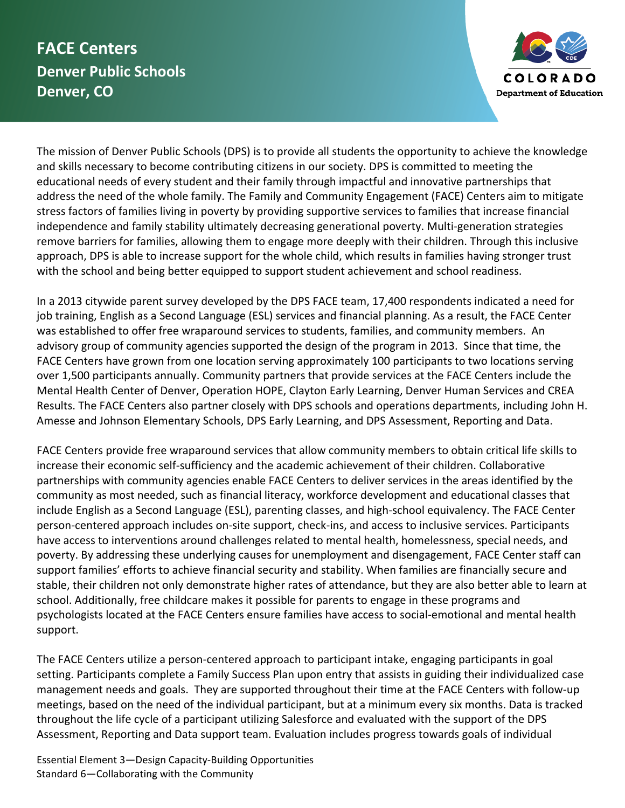## **FACE Centers Denver Public Schools Denver, CO**



The mission of Denver Public Schools (DPS) is to provide all students the opportunity to achieve the knowledge and skills necessary to become contributing citizens in our society. DPS is committed to meeting the educational needs of every student and their family through impactful and innovative partnerships that address the need of the whole family. The Family and Community Engagement (FACE) Centers aim to mitigate stress factors of families living in poverty by providing supportive services to families that increase financial independence and family stability ultimately decreasing generational poverty. Multi-generation strategies remove barriers for families, allowing them to engage more deeply with their children. Through this inclusive approach, DPS is able to increase support for the whole child, which results in families having stronger trust with the school and being better equipped to support student achievement and school readiness.

In a 2013 citywide parent survey developed by the DPS FACE team, 17,400 respondents indicated a need for job training, English as a Second Language (ESL) services and financial planning. As a result, the FACE Center was established to offer free wraparound services to students, families, and community members. An advisory group of community agencies supported the design of the program in 2013. Since that time, the FACE Centers have grown from one location serving approximately 100 participants to two locations serving over 1,500 participants annually. Community partners that provide services at the FACE Centers include the Mental Health Center of Denver, Operation HOPE, Clayton Early Learning, Denver Human Services and CREA Results. The FACE Centers also partner closely with DPS schools and operations departments, including John H. Amesse and Johnson Elementary Schools, DPS Early Learning, and DPS Assessment, Reporting and Data.

FACE Centers provide free wraparound services that allow community members to obtain critical life skills to increase their economic self-sufficiency and the academic achievement of their children. Collaborative partnerships with community agencies enable FACE Centers to deliver services in the areas identified by the community as most needed, such as financial literacy, workforce development and educational classes that include English as a Second Language (ESL), parenting classes, and high-school equivalency. The FACE Center person-centered approach includes on-site support, check-ins, and access to inclusive services. Participants have access to interventions around challenges related to mental health, homelessness, special needs, and poverty. By addressing these underlying causes for unemployment and disengagement, FACE Center staff can support families' efforts to achieve financial security and stability. When families are financially secure and stable, their children not only demonstrate higher rates of attendance, but they are also better able to learn at school. Additionally, free childcare makes it possible for parents to engage in these programs and psychologists located at the FACE Centers ensure families have access to social-emotional and mental health support.

The FACE Centers utilize a person-centered approach to participant intake, engaging participants in goal setting. Participants complete a Family Success Plan upon entry that assists in guiding their individualized case management needs and goals. They are supported throughout their time at the FACE Centers with follow-up meetings, based on the need of the individual participant, but at a minimum every six months. Data is tracked throughout the life cycle of a participant utilizing Salesforce and evaluated with the support of the DPS Assessment, Reporting and Data support team. Evaluation includes progress towards goals of individual

Essential Element 3—Design Capacity-Building Opportunities Standard 6—Collaborating with the Community